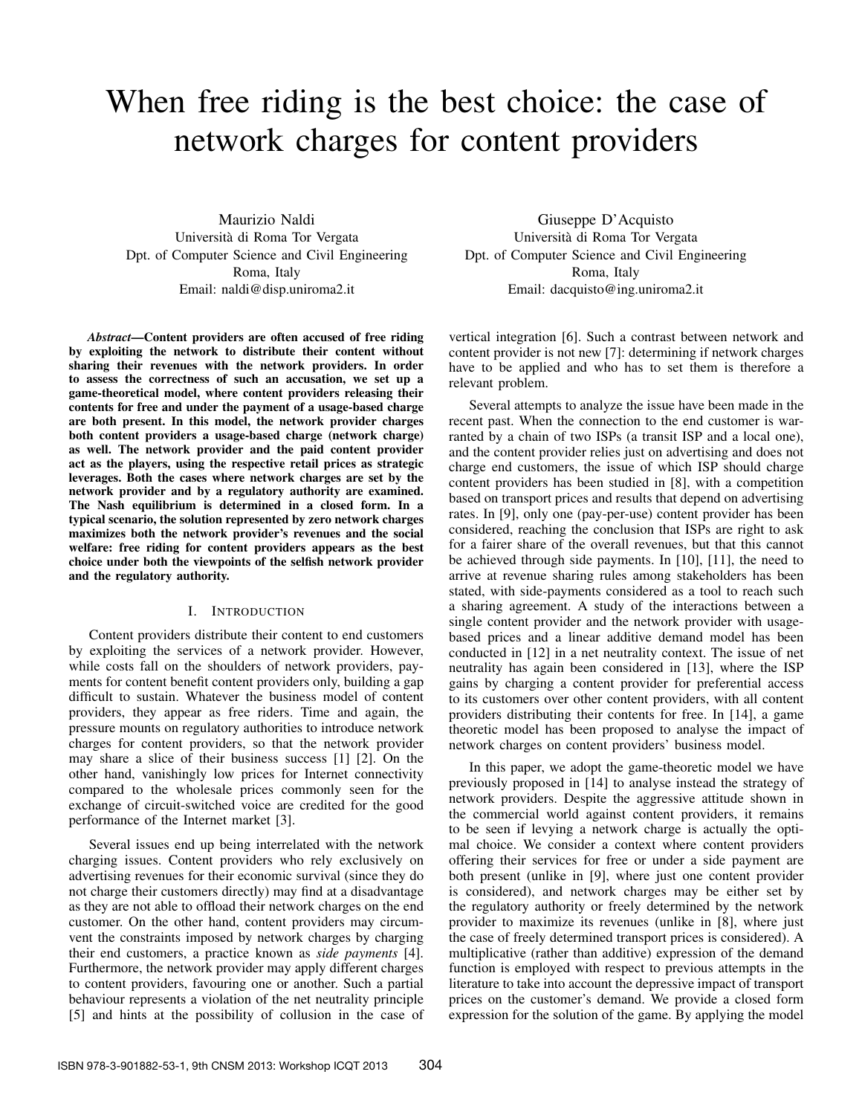# When free riding is the best choice: the case of network charges for content providers

Maurizio Naldi Universita di Roma Tor Vergata ` Dpt. of Computer Science and Civil Engineering Roma, Italy Email: naldi@disp.uniroma2.it

*Abstract*—Content providers are often accused of free riding by exploiting the network to distribute their content without sharing their revenues with the network providers. In order to assess the correctness of such an accusation, we set up a game-theoretical model, where content providers releasing their contents for free and under the payment of a usage-based charge are both present. In this model, the network provider charges both content providers a usage-based charge (network charge) as well. The network provider and the paid content provider act as the players, using the respective retail prices as strategic leverages. Both the cases where network charges are set by the network provider and by a regulatory authority are examined. The Nash equilibrium is determined in a closed form. In a typical scenario, the solution represented by zero network charges maximizes both the network provider's revenues and the social welfare: free riding for content providers appears as the best choice under both the viewpoints of the selfish network provider and the regulatory authority.

# I. INTRODUCTION

Content providers distribute their content to end customers by exploiting the services of a network provider. However, while costs fall on the shoulders of network providers, payments for content benefit content providers only, building a gap difficult to sustain. Whatever the business model of content providers, they appear as free riders. Time and again, the pressure mounts on regulatory authorities to introduce network charges for content providers, so that the network provider may share a slice of their business success [1] [2]. On the other hand, vanishingly low prices for Internet connectivity compared to the wholesale prices commonly seen for the exchange of circuit-switched voice are credited for the good performance of the Internet market [3].

Several issues end up being interrelated with the network charging issues. Content providers who rely exclusively on advertising revenues for their economic survival (since they do not charge their customers directly) may find at a disadvantage as they are not able to offload their network charges on the end customer. On the other hand, content providers may circumvent the constraints imposed by network charges by charging their end customers, a practice known as *side payments* [4]. Furthermore, the network provider may apply different charges to content providers, favouring one or another. Such a partial behaviour represents a violation of the net neutrality principle [5] and hints at the possibility of collusion in the case of

Giuseppe D'Acquisto Universita di Roma Tor Vergata ` Dpt. of Computer Science and Civil Engineering Roma, Italy Email: dacquisto@ing.uniroma2.it

vertical integration [6]. Such a contrast between network and content provider is not new [7]: determining if network charges have to be applied and who has to set them is therefore a relevant problem.

Several attempts to analyze the issue have been made in the recent past. When the connection to the end customer is warranted by a chain of two ISPs (a transit ISP and a local one), and the content provider relies just on advertising and does not charge end customers, the issue of which ISP should charge content providers has been studied in [8], with a competition based on transport prices and results that depend on advertising rates. In [9], only one (pay-per-use) content provider has been considered, reaching the conclusion that ISPs are right to ask for a fairer share of the overall revenues, but that this cannot be achieved through side payments. In [10], [11], the need to arrive at revenue sharing rules among stakeholders has been stated, with side-payments considered as a tool to reach such a sharing agreement. A study of the interactions between a single content provider and the network provider with usagebased prices and a linear additive demand model has been conducted in [12] in a net neutrality context. The issue of net neutrality has again been considered in [13], where the ISP gains by charging a content provider for preferential access to its customers over other content providers, with all content providers distributing their contents for free. In [14], a game theoretic model has been proposed to analyse the impact of network charges on content providers' business model.

In this paper, we adopt the game-theoretic model we have previously proposed in [14] to analyse instead the strategy of network providers. Despite the aggressive attitude shown in the commercial world against content providers, it remains to be seen if levying a network charge is actually the optimal choice. We consider a context where content providers offering their services for free or under a side payment are both present (unlike in [9], where just one content provider is considered), and network charges may be either set by the regulatory authority or freely determined by the network provider to maximize its revenues (unlike in [8], where just the case of freely determined transport prices is considered). A multiplicative (rather than additive) expression of the demand function is employed with respect to previous attempts in the literature to take into account the depressive impact of transport prices on the customer's demand. We provide a closed form expression for the solution of the game. By applying the model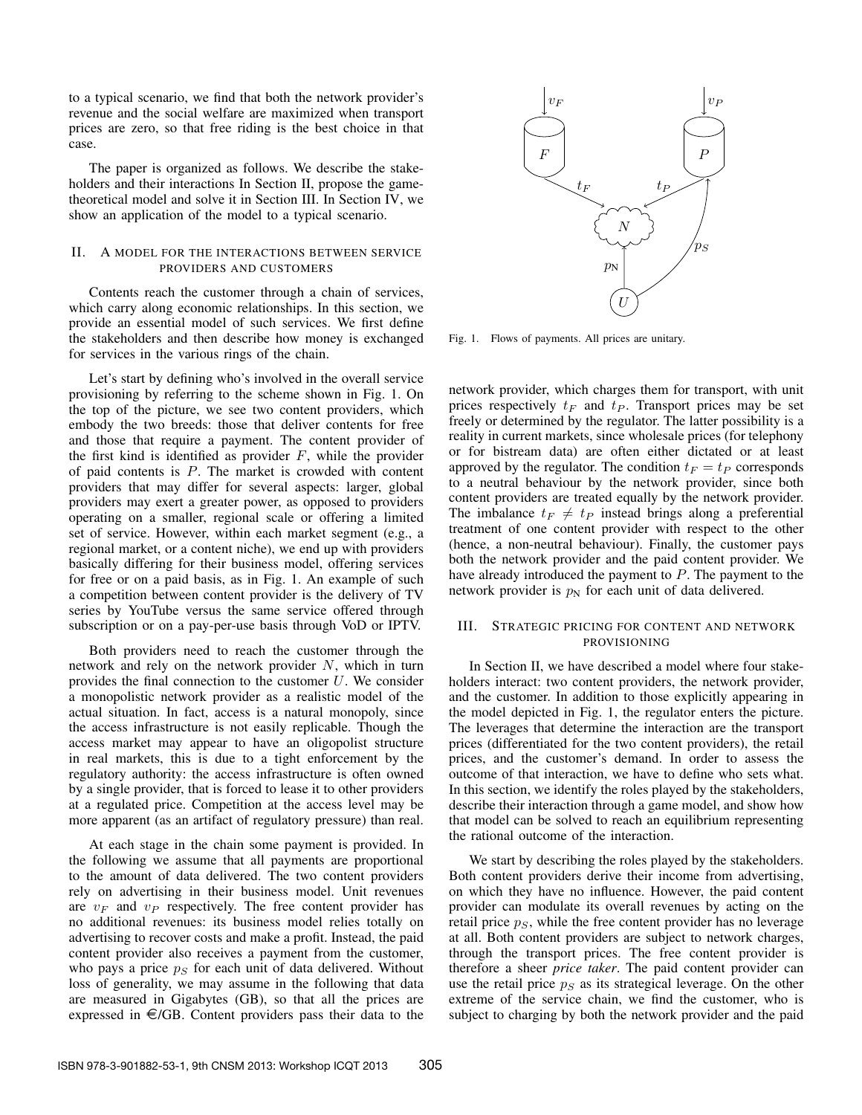to a typical scenario, we find that both the network provider's revenue and the social welfare are maximized when transport prices are zero, so that free riding is the best choice in that case.

The paper is organized as follows. We describe the stakeholders and their interactions In Section II, propose the gametheoretical model and solve it in Section III. In Section IV, we show an application of the model to a typical scenario.

## II. A MODEL FOR THE INTERACTIONS BETWEEN SERVICE PROVIDERS AND CUSTOMERS

Contents reach the customer through a chain of services, which carry along economic relationships. In this section, we provide an essential model of such services. We first define the stakeholders and then describe how money is exchanged for services in the various rings of the chain.

Let's start by defining who's involved in the overall service provisioning by referring to the scheme shown in Fig. 1. On the top of the picture, we see two content providers, which embody the two breeds: those that deliver contents for free and those that require a payment. The content provider of the first kind is identified as provider  $F$ , while the provider of paid contents is  $P$ . The market is crowded with content providers that may differ for several aspects: larger, global providers may exert a greater power, as opposed to providers operating on a smaller, regional scale or offering a limited set of service. However, within each market segment (e.g., a regional market, or a content niche), we end up with providers basically differing for their business model, offering services for free or on a paid basis, as in Fig. 1. An example of such a competition between content provider is the delivery of TV series by YouTube versus the same service offered through subscription or on a pay-per-use basis through VoD or IPTV.

Both providers need to reach the customer through the network and rely on the network provider  $N$ , which in turn provides the final connection to the customer  $U$ . We consider a monopolistic network provider as a realistic model of the actual situation. In fact, access is a natural monopoly, since the access infrastructure is not easily replicable. Though the access market may appear to have an oligopolist structure in real markets, this is due to a tight enforcement by the regulatory authority: the access infrastructure is often owned by a single provider, that is forced to lease it to other providers at a regulated price. Competition at the access level may be more apparent (as an artifact of regulatory pressure) than real.

At each stage in the chain some payment is provided. In the following we assume that all payments are proportional to the amount of data delivered. The two content providers rely on advertising in their business model. Unit revenues are  $v_F$  and  $v_P$  respectively. The free content provider has no additional revenues: its business model relies totally on advertising to recover costs and make a profit. Instead, the paid content provider also receives a payment from the customer, who pays a price  $p<sub>S</sub>$  for each unit of data delivered. Without loss of generality, we may assume in the following that data are measured in Gigabytes (GB), so that all the prices are expressed in  $E/GB$ . Content providers pass their data to the



Fig. 1. Flows of payments. All prices are unitary.

network provider, which charges them for transport, with unit prices respectively  $t_F$  and  $t_P$ . Transport prices may be set freely or determined by the regulator. The latter possibility is a reality in current markets, since wholesale prices (for telephony or for bistream data) are often either dictated or at least approved by the regulator. The condition  $t_F = t_P$  corresponds to a neutral behaviour by the network provider, since both content providers are treated equally by the network provider. The imbalance  $t_F \neq t_P$  instead brings along a preferential treatment of one content provider with respect to the other (hence, a non-neutral behaviour). Finally, the customer pays both the network provider and the paid content provider. We have already introduced the payment to P. The payment to the network provider is  $p_N$  for each unit of data delivered.

## III. STRATEGIC PRICING FOR CONTENT AND NETWORK PROVISIONING

In Section II, we have described a model where four stakeholders interact: two content providers, the network provider, and the customer. In addition to those explicitly appearing in the model depicted in Fig. 1, the regulator enters the picture. The leverages that determine the interaction are the transport prices (differentiated for the two content providers), the retail prices, and the customer's demand. In order to assess the outcome of that interaction, we have to define who sets what. In this section, we identify the roles played by the stakeholders, describe their interaction through a game model, and show how that model can be solved to reach an equilibrium representing the rational outcome of the interaction.

We start by describing the roles played by the stakeholders. Both content providers derive their income from advertising, on which they have no influence. However, the paid content provider can modulate its overall revenues by acting on the retail price  $p<sub>S</sub>$ , while the free content provider has no leverage at all. Both content providers are subject to network charges, through the transport prices. The free content provider is therefore a sheer *price taker*. The paid content provider can use the retail price  $p<sub>S</sub>$  as its strategical leverage. On the other extreme of the service chain, we find the customer, who is subject to charging by both the network provider and the paid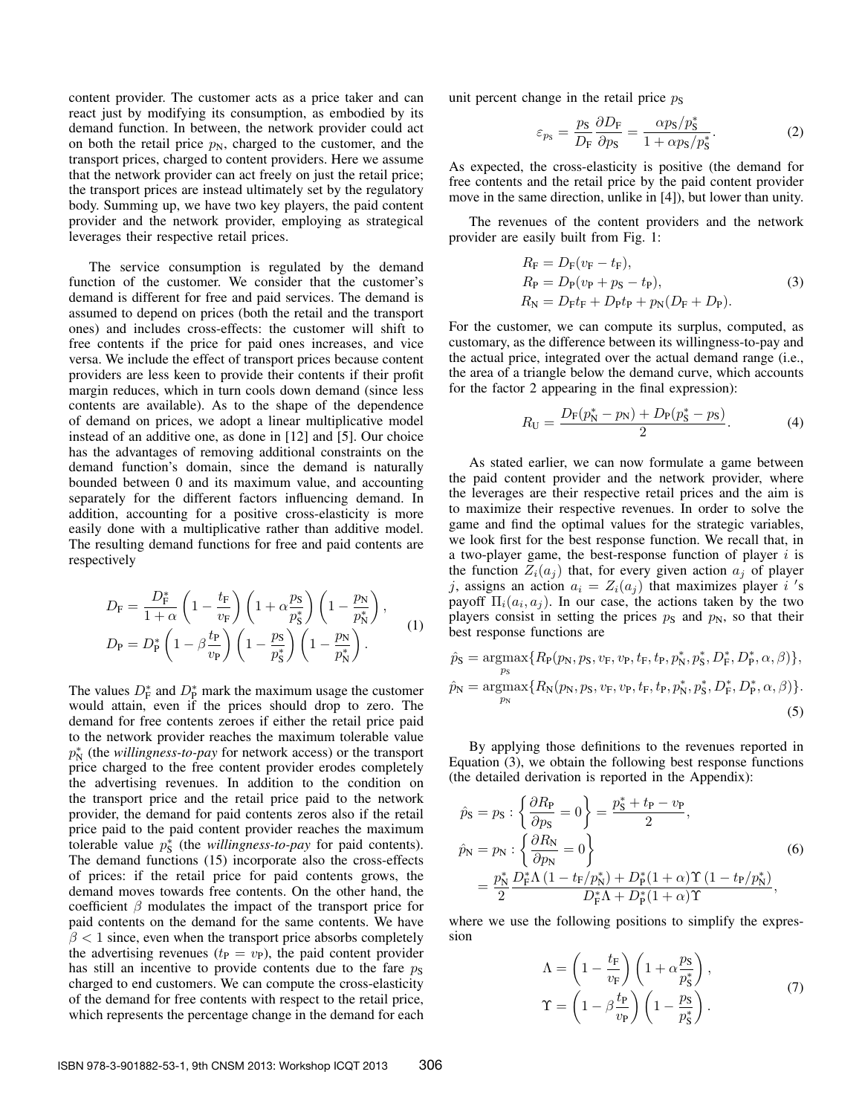content provider. The customer acts as a price taker and can react just by modifying its consumption, as embodied by its demand function. In between, the network provider could act on both the retail price  $p_N$ , charged to the customer, and the transport prices, charged to content providers. Here we assume that the network provider can act freely on just the retail price; the transport prices are instead ultimately set by the regulatory body. Summing up, we have two key players, the paid content provider and the network provider, employing as strategical leverages their respective retail prices.

The service consumption is regulated by the demand function of the customer. We consider that the customer's demand is different for free and paid services. The demand is assumed to depend on prices (both the retail and the transport ones) and includes cross-effects: the customer will shift to free contents if the price for paid ones increases, and vice versa. We include the effect of transport prices because content providers are less keen to provide their contents if their profit margin reduces, which in turn cools down demand (since less contents are available). As to the shape of the dependence of demand on prices, we adopt a linear multiplicative model instead of an additive one, as done in [12] and [5]. Our choice has the advantages of removing additional constraints on the demand function's domain, since the demand is naturally bounded between 0 and its maximum value, and accounting separately for the different factors influencing demand. In addition, accounting for a positive cross-elasticity is more easily done with a multiplicative rather than additive model. The resulting demand functions for free and paid contents are respectively

$$
D_{\rm F} = \frac{D_{\rm F}^*}{1+\alpha} \left(1 - \frac{t_{\rm F}}{v_{\rm F}}\right) \left(1 + \alpha \frac{p_{\rm S}}{p_{\rm S}^*}\right) \left(1 - \frac{p_{\rm N}}{p_{\rm N}^*}\right),
$$
  
\n
$$
D_{\rm P} = D_{\rm P}^* \left(1 - \beta \frac{t_{\rm P}}{v_{\rm P}}\right) \left(1 - \frac{p_{\rm S}}{p_{\rm S}^*}\right) \left(1 - \frac{p_{\rm N}}{p_{\rm N}^*}\right).
$$
\n(1)

The values  $D_F^*$  and  $D_P^*$  mark the maximum usage the customer would attain, even if the prices should drop to zero. The demand for free contents zeroes if either the retail price paid to the network provider reaches the maximum tolerable value  $p_N^*$  (the *willingness-to-pay* for network access) or the transport price charged to the free content provider erodes completely the advertising revenues. In addition to the condition on the transport price and the retail price paid to the network provider, the demand for paid contents zeros also if the retail price paid to the paid content provider reaches the maximum tolerable value  $p_S^*$  (the *willingness-to-pay* for paid contents). The demand functions (15) incorporate also the cross-effects of prices: if the retail price for paid contents grows, the demand moves towards free contents. On the other hand, the coefficient  $\beta$  modulates the impact of the transport price for paid contents on the demand for the same contents. We have  $\beta$  < 1 since, even when the transport price absorbs completely the advertising revenues ( $t_{\rm P} = v_{\rm P}$ ), the paid content provider has still an incentive to provide contents due to the fare  $p<sub>S</sub>$ charged to end customers. We can compute the cross-elasticity of the demand for free contents with respect to the retail price, which represents the percentage change in the demand for each unit percent change in the retail price  $p<sub>S</sub>$ 

$$
\varepsilon_{p_{\rm S}} = \frac{p_{\rm S}}{D_{\rm F}} \frac{\partial D_{\rm F}}{\partial p_{\rm S}} = \frac{\alpha p_{\rm S} / p_{\rm S}^*}{1 + \alpha p_{\rm S} / p_{\rm S}^*}.\tag{2}
$$

As expected, the cross-elasticity is positive (the demand for free contents and the retail price by the paid content provider move in the same direction, unlike in [4]), but lower than unity.

The revenues of the content providers and the network provider are easily built from Fig. 1:

$$
R_{\rm F} = D_{\rm F}(v_{\rm F} - t_{\rm F}), R_{\rm P} = D_{\rm P}(v_{\rm P} + p_{\rm S} - t_{\rm P}), R_{\rm N} = D_{\rm F}t_{\rm F} + D_{\rm P}t_{\rm P} + p_{\rm N}(D_{\rm F} + D_{\rm P}).
$$
\n(3)

For the customer, we can compute its surplus, computed, as customary, as the difference between its willingness-to-pay and the actual price, integrated over the actual demand range (i.e., the area of a triangle below the demand curve, which accounts for the factor 2 appearing in the final expression):

$$
R_{\rm U} = \frac{D_{\rm F}(p_{\rm N}^* - p_{\rm N}) + D_{\rm P}(p_{\rm S}^* - p_{\rm S})}{2}.
$$
 (4)

As stated earlier, we can now formulate a game between the paid content provider and the network provider, where the leverages are their respective retail prices and the aim is to maximize their respective revenues. In order to solve the game and find the optimal values for the strategic variables, we look first for the best response function. We recall that, in a two-player game, the best-response function of player  $i$  is the function  $Z_i(a_j)$  that, for every given action  $a_j$  of player j, assigns an action  $a_i = Z_i(a_j)$  that maximizes player i 's payoff  $\Pi_i(a_i, a_j)$ . In our case, the actions taken by the two players consist in setting the prices  $p<sub>S</sub>$  and  $p<sub>N</sub>$ , so that their best response functions are

$$
\hat{p}_{\rm S} = \underset{p_{\rm S}}{\text{argmax}} \{ R_{\rm P}(p_{\rm N}, p_{\rm S}, v_{\rm F}, v_{\rm P}, t_{\rm F}, t_{\rm P}, p_{\rm N}^*, p_{\rm S}^*, D_{\rm F}^*, D_{\rm P}^*, \alpha, \beta) \},
$$
\n
$$
\hat{p}_{\rm N} = \underset{p_{\rm N}}{\text{argmax}} \{ R_{\rm N}(p_{\rm N}, p_{\rm S}, v_{\rm F}, v_{\rm P}, t_{\rm F}, t_{\rm P}, p_{\rm N}^*, p_{\rm S}^*, D_{\rm F}^*, D_{\rm P}^*, \alpha, \beta) \}.
$$
\n(5)

By applying those definitions to the revenues reported in Equation (3), we obtain the following best response functions (the detailed derivation is reported in the Appendix):

$$
\hat{p}_{\rm S} = p_{\rm S} : \left\{ \frac{\partial R_{\rm P}}{\partial p_{\rm S}} = 0 \right\} = \frac{p_{\rm S}^* + t_{\rm P} - v_{\rm P}}{2},
$$
\n
$$
\hat{p}_{\rm N} = p_{\rm N} : \left\{ \frac{\partial R_{\rm N}}{\partial p_{\rm N}} = 0 \right\}
$$
\n
$$
= \frac{p_{\rm N}^*}{2} \frac{D_{\rm F}^* \Lambda \left( 1 - t_{\rm F} / p_{\rm N}^* \right) + D_{\rm P}^* (1 + \alpha) \Upsilon \left( 1 - t_{\rm P} / p_{\rm N}^* \right)}{D_{\rm F}^* \Lambda + D_{\rm P}^* (1 + \alpha) \Upsilon},
$$
\n(6)

where we use the following positions to simplify the expression

$$
\Lambda = \left(1 - \frac{t_{\rm F}}{v_{\rm F}}\right) \left(1 + \alpha \frac{p_{\rm S}}{p_{\rm S}^*}\right),
$$
  

$$
\Upsilon = \left(1 - \beta \frac{t_{\rm P}}{v_{\rm P}}\right) \left(1 - \frac{p_{\rm S}}{p_{\rm S}^*}\right).
$$
 (7)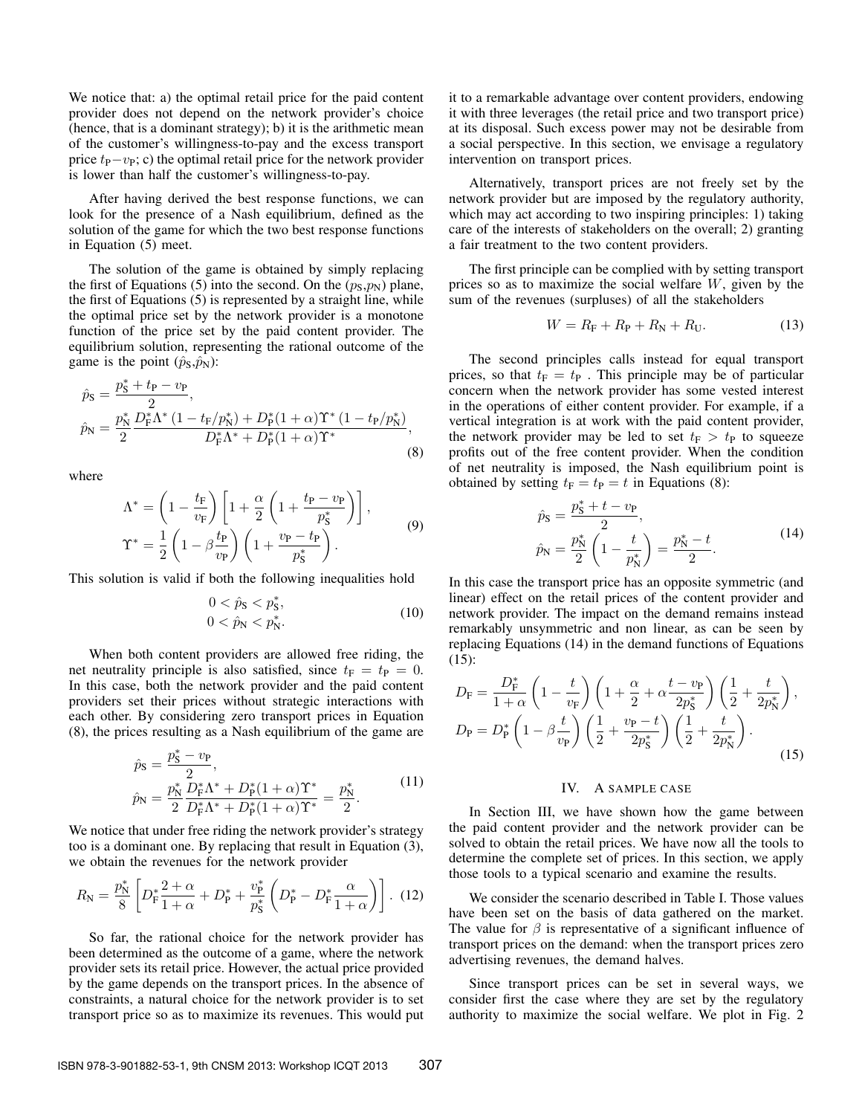We notice that: a) the optimal retail price for the paid content provider does not depend on the network provider's choice (hence, that is a dominant strategy); b) it is the arithmetic mean of the customer's willingness-to-pay and the excess transport price  $t_{\rm P}-v_{\rm P}$ ; c) the optimal retail price for the network provider is lower than half the customer's willingness-to-pay.

After having derived the best response functions, we can look for the presence of a Nash equilibrium, defined as the solution of the game for which the two best response functions in Equation (5) meet.

The solution of the game is obtained by simply replacing the first of Equations (5) into the second. On the  $(p_S, p_N)$  plane, the first of Equations (5) is represented by a straight line, while the optimal price set by the network provider is a monotone function of the price set by the paid content provider. The equilibrium solution, representing the rational outcome of the game is the point  $(\hat{p}_S, \hat{p}_N)$ :

$$
\hat{p}_{\rm S} = \frac{p_{\rm S}^* + t_{\rm P} - v_{\rm P}}{2}, \n\hat{p}_{\rm N} = \frac{p_{\rm N}^*}{2} \frac{D_{\rm F}^* \Lambda^* (1 - t_{\rm F}/p_{\rm N}^*) + D_{\rm P}^* (1 + \alpha) \Upsilon^* (1 - t_{\rm P}/p_{\rm N}^*)}{D_{\rm F}^* \Lambda^* + D_{\rm P}^* (1 + \alpha) \Upsilon^*},
$$
\n(8)

where

$$
\Lambda^* = \left(1 - \frac{t_F}{v_F}\right) \left[1 + \frac{\alpha}{2} \left(1 + \frac{t_P - v_P}{p_S^*}\right)\right],
$$
  

$$
\Upsilon^* = \frac{1}{2} \left(1 - \beta \frac{t_P}{v_P}\right) \left(1 + \frac{v_P - t_P}{p_S^*}\right).
$$
 (9)

This solution is valid if both the following inequalities hold

$$
0 < \hat{p}_\mathbf{S} < p_\mathbf{S}^*, \n0 < \hat{p}_\mathbf{N} < p_\mathbf{N}^*.
$$
\n<sup>(10)</sup>

When both content providers are allowed free riding, the net neutrality principle is also satisfied, since  $t_F = t_P = 0$ . In this case, both the network provider and the paid content providers set their prices without strategic interactions with each other. By considering zero transport prices in Equation (8), the prices resulting as a Nash equilibrium of the game are

$$
\hat{p}_{\rm S} = \frac{p_{\rm S}^* - v_{\rm P}}{2}, \n\hat{p}_{\rm N} = \frac{p_{\rm N}^* D_{\rm F}^* \Lambda^* + D_{\rm P}^*(1 + \alpha) \Upsilon^*}{2 D_{\rm F}^* \Lambda^* + D_{\rm P}^*(1 + \alpha) \Upsilon^*} = \frac{p_{\rm N}^*}{2}.
$$
\n(11)

We notice that under free riding the network provider's strategy too is a dominant one. By replacing that result in Equation (3), we obtain the revenues for the network provider

$$
R_{\rm N} = \frac{p_{\rm N}^*}{8} \left[ D_{\rm F}^* \frac{2+\alpha}{1+\alpha} + D_{\rm P}^* + \frac{v_{\rm P}^*}{p_{\rm S}^*} \left( D_{\rm P}^* - D_{\rm F}^* \frac{\alpha}{1+\alpha} \right) \right].
$$
 (12)

So far, the rational choice for the network provider has been determined as the outcome of a game, where the network provider sets its retail price. However, the actual price provided by the game depends on the transport prices. In the absence of constraints, a natural choice for the network provider is to set transport price so as to maximize its revenues. This would put it to a remarkable advantage over content providers, endowing it with three leverages (the retail price and two transport price) at its disposal. Such excess power may not be desirable from a social perspective. In this section, we envisage a regulatory intervention on transport prices.

Alternatively, transport prices are not freely set by the network provider but are imposed by the regulatory authority, which may act according to two inspiring principles: 1) taking care of the interests of stakeholders on the overall; 2) granting a fair treatment to the two content providers.

The first principle can be complied with by setting transport prices so as to maximize the social welfare  $W$ , given by the sum of the revenues (surpluses) of all the stakeholders

$$
W = R_{\rm F} + R_{\rm P} + R_{\rm N} + R_{\rm U}.
$$
 (13)

The second principles calls instead for equal transport prices, so that  $t_F = t_P$ . This principle may be of particular concern when the network provider has some vested interest in the operations of either content provider. For example, if a vertical integration is at work with the paid content provider, the network provider may be led to set  $t_F > t_P$  to squeeze profits out of the free content provider. When the condition of net neutrality is imposed, the Nash equilibrium point is obtained by setting  $t_F = t_P = t$  in Equations (8):

$$
\hat{p}_{\rm S} = \frac{p_{\rm S}^* + t - v_{\rm P}}{2}, \n\hat{p}_{\rm N} = \frac{p_{\rm N}^*}{2} \left( 1 - \frac{t}{p_{\rm N}^*} \right) = \frac{p_{\rm N}^* - t}{2}.
$$
\n(14)

In this case the transport price has an opposite symmetric (and linear) effect on the retail prices of the content provider and network provider. The impact on the demand remains instead remarkably unsymmetric and non linear, as can be seen by replacing Equations (14) in the demand functions of Equations (15):

$$
D_{\rm F} = \frac{D_{\rm F}^*}{1+\alpha} \left(1 - \frac{t}{v_{\rm F}}\right) \left(1 + \frac{\alpha}{2} + \alpha \frac{t - v_{\rm P}}{2p_{\rm S}^*}\right) \left(\frac{1}{2} + \frac{t}{2p_{\rm N}^*}\right),
$$
  
\n
$$
D_{\rm P} = D_{\rm P}^* \left(1 - \beta \frac{t}{v_{\rm P}}\right) \left(\frac{1}{2} + \frac{v_{\rm P} - t}{2p_{\rm S}^*}\right) \left(\frac{1}{2} + \frac{t}{2p_{\rm N}^*}\right).
$$
\n(15)

## IV. A SAMPLE CASE

In Section III, we have shown how the game between the paid content provider and the network provider can be solved to obtain the retail prices. We have now all the tools to determine the complete set of prices. In this section, we apply those tools to a typical scenario and examine the results.

We consider the scenario described in Table I. Those values have been set on the basis of data gathered on the market. The value for  $\beta$  is representative of a significant influence of transport prices on the demand: when the transport prices zero advertising revenues, the demand halves.

Since transport prices can be set in several ways, we consider first the case where they are set by the regulatory authority to maximize the social welfare. We plot in Fig. 2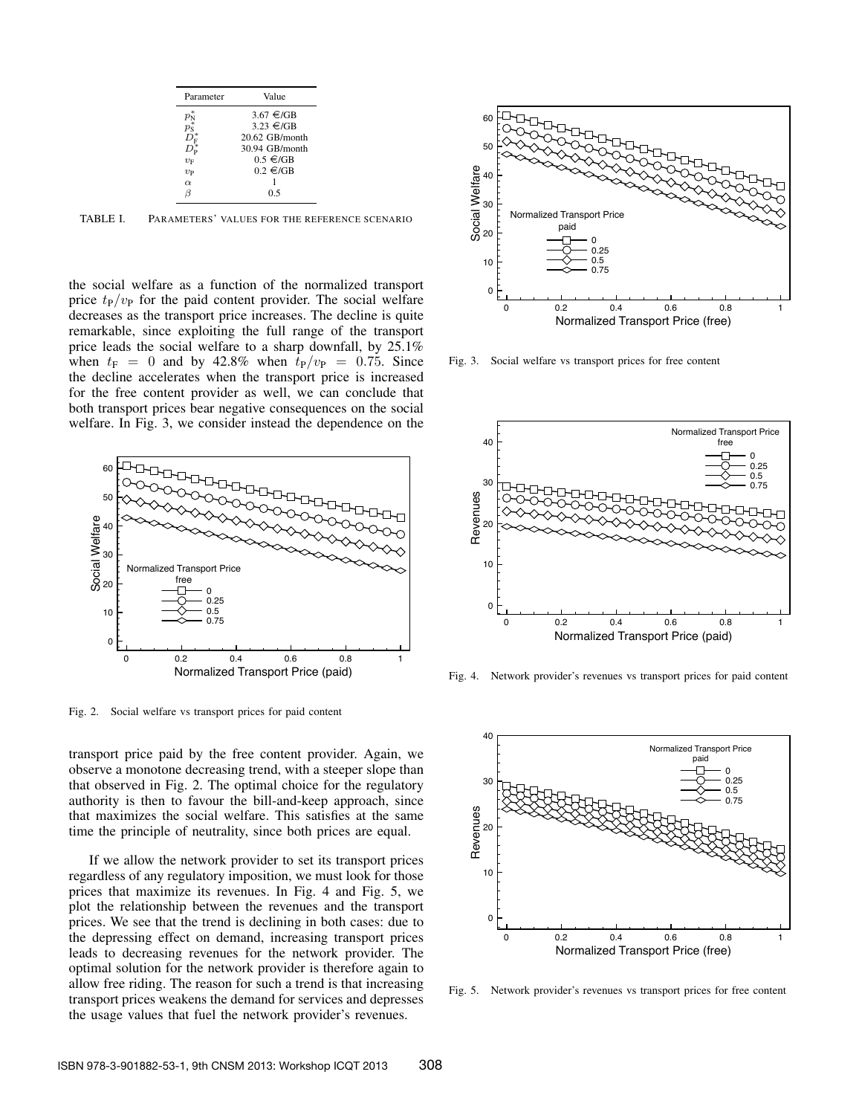| Parameter                | Value            |
|--------------------------|------------------|
|                          | $3.67 \in G$ R   |
| $p^*_{\rm S}$            | $3.23 \in G$ R   |
| $\tilde{D}_{\text{F}}^*$ | $20.62$ GB/month |
| $D_{p}^{*}$              | 30.94 GB/month   |
| $v_F$                    | $0.5 \in G$ B    |
| $v_{\rm P}$              | $0.2 \in G$ B    |
| $\alpha$                 |                  |
| R                        | 05               |

TABLE I. PARAMETERS' VALUES FOR THE REFERENCE SCENARIO

the social welfare as a function of the normalized transport price  $t_P/v_P$  for the paid content provider. The social welfare decreases as the transport price increases. The decline is quite remarkable, since exploiting the full range of the transport price leads the social welfare to a sharp downfall, by 25.1% when  $t_F = 0$  and by 42.8% when  $t_P/v_P = 0.75$ . Since the decline accelerates when the transport price is increased for the free content provider as well, we can conclude that both transport prices bear negative consequences on the social welfare. In Fig. 3, we consider instead the dependence on the



Fig. 2. Social welfare vs transport prices for paid content

transport price paid by the free content provider. Again, we observe a monotone decreasing trend, with a steeper slope than that observed in Fig. 2. The optimal choice for the regulatory authority is then to favour the bill-and-keep approach, since that maximizes the social welfare. This satisfies at the same time the principle of neutrality, since both prices are equal.

If we allow the network provider to set its transport prices regardless of any regulatory imposition, we must look for those prices that maximize its revenues. In Fig. 4 and Fig. 5, we plot the relationship between the revenues and the transport prices. We see that the trend is declining in both cases: due to the depressing effect on demand, increasing transport prices leads to decreasing revenues for the network provider. The optimal solution for the network provider is therefore again to allow free riding. The reason for such a trend is that increasing transport prices weakens the demand for services and depresses



Fig. 3. Social welfare vs transport prices for free content



Fig. 4. Network provider's revenues vs transport prices for paid content



Fig. 5. Network provider's revenues vs transport prices for free content